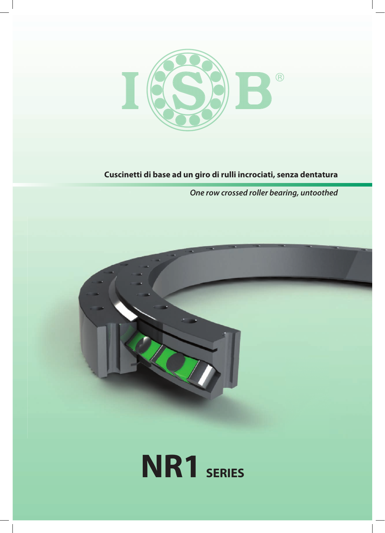

## **Cuscinetti di base ad un giro di rulli incrociati, senza dentatura**

*One row crossed roller bearing, untoothed*



# **NR1** SERIES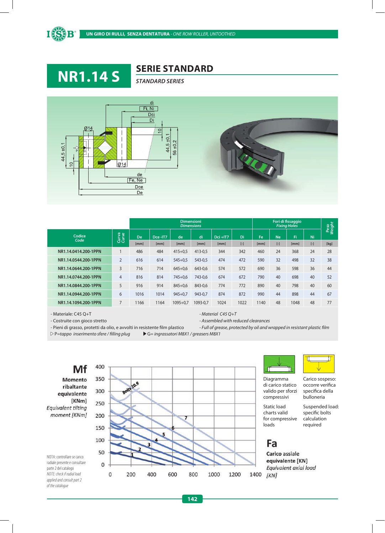



### **SERIE STANDARD**





|                      |                |               |      | <b>Dimensioni</b><br><b>Dimensions</b> |          |          |           | $\overline{\phantom{a}}$<br>Peso<br>Weight |           |      |           |      |  |
|----------------------|----------------|---------------|------|----------------------------------------|----------|----------|-----------|--------------------------------------------|-----------|------|-----------|------|--|
| Codice<br>Code       | Curva<br>Curve | Dce-IT7<br>De |      | de                                     | di       | Dci +IT7 | Di        | Fe                                         | <b>Ne</b> | Fi   | Ni        |      |  |
|                      |                | [mm]          | [mm] | [mm]                                   | [mm]     | [mm]     | $[\cdot]$ | [mm]                                       | $[-]$     | [mm] | $[\cdot]$ | [kg] |  |
| NR1.14.0414.200-1PPN |                | 486           | 484  | $415 + 0.5$                            | 413-0.5  | 344      | 342       | 460                                        | 24        | 368  | 24        | 28   |  |
| NR1.14.0544.200-1PPN | $\overline{2}$ | 616           | 614  | $545 + 0.5$                            | 543-0,5  | 474      | 472       | 590                                        | 32        | 498  | 32        | 38   |  |
| NR1.14.0644.200-1PPN | 3              | 716           | 714  | $645 + 0.6$                            | 643-0.6  | 574      | 572       | 690                                        | 36        | 598  | 36        | 44   |  |
| NR1.14.0744.200-1PPN | $\overline{4}$ | 816           | 814  | $745 + 0.6$                            | 743-0.6  | 674      | 672       | 790                                        | 40        | 698  | 40        | 52   |  |
| NR1.14.0844.200-1PPN | 5              | 916           | 914  | $845 + 0.6$                            | 843-0.6  | 774      | 772       | 890                                        | 40        | 798  | 40        | 60   |  |
| NR1.14.0944.200-1PPN | 6              | 1016          | 1014 | $945 + 0.7$                            | 943-0,7  | 874      | 872       | 990                                        | 44        | 898  | 44        | 67   |  |
| NR1.14.1094.200-1PPN |                | 1166          | 1164 | $1095 + 0.7$                           | 1093-0.7 | 1024     | 1022      | 1140                                       | 48        | 1048 | 48        | 77   |  |

- Materiale: C45 Q+T *- Material C45 Q+T* 

- Costruite con gioco stretto *- Assembled with reduced clearances*

- Pieni di grasso, protetti da olio, e avvolti in resistente film plastico **- Full of grease, protected by oil and wrapped in resistant plastic film** 

P*=tappo inserimento sfere / lling plug* G*= ingrassatori M8X1 / greasers M8X1*

Mf Momento ribaltante equivalente [KNm] **Equivalent tilting** moment [KNm]

NOTA: controllare se carico radiale presente e consultare parte 2 del catalogo *NOTE: check if radial load applied and consult part 2 of the catalogue*





Diagramma di carico statico valido per sforzi compressivi

Static load charts valid for compressive loads

Carico sospeso: occorre verifica specifica della bulloneria

Suspended load: specific bolts calculation required

## Fa

Carico assiale equivalente [KN] Equivalent axial load  $[KN]$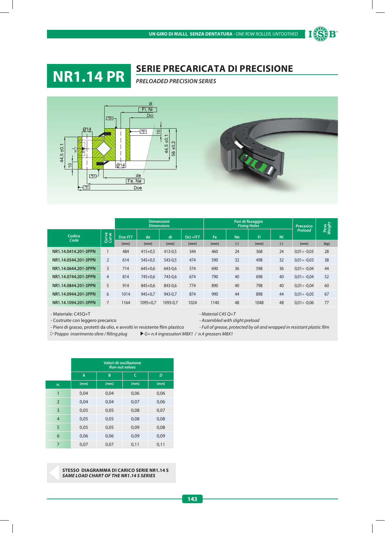

## **SERIE PRECARICATA DI PRECISIONE NR1.14 PR** *PRELOADED PRECISION SERIES*



|                      |                |         |              | <b>Dimensioni</b><br><b>Dimensions</b> |          |      |           | Fori di fissaggio<br><b>Fixing Holes</b> |           | <b>Precarico</b>  | Peso<br>Weight |  |
|----------------------|----------------|---------|--------------|----------------------------------------|----------|------|-----------|------------------------------------------|-----------|-------------------|----------------|--|
| Codice<br>Code       | Curva<br>Curve | Dce-IT7 | di<br>de     |                                        | Dci +IT7 | Fe   | <b>Ne</b> | Fi                                       | Ni        | Preload           |                |  |
|                      |                | [mm]    | [mm]         | [mm]                                   | [mm]     | [mm] | $[ - ]$   | [mm]                                     | $[\cdot]$ | [mm]              | [kg]           |  |
| NR1.14.0414.201-3PPN |                | 484     | $415 + 0.5$  | 413-0.5                                | 344      | 460  | 24        | 368                                      | 24        | $0.01 \div -0.03$ | 28             |  |
| NR1.14.0544.201-3PPN | $\overline{2}$ | 614     | $545 + 0.5$  | 543-0.5                                | 474      | 590  | 32        | 498                                      | 32        | $0,01 \div -0,03$ | 38             |  |
| NR1.14.0644.201-3PPN | 3              | 714     | $645 + 0.6$  | 643-0.6                                | 574      | 690  | 36        | 598                                      | 36        | $0.01 \div -0.04$ | 44             |  |
| NR1.14.0744.201-3PPN | $\overline{4}$ | 814     | $745 + 0.6$  | 743-0,6                                | 674      | 790  | 40        | 698                                      | 40        | $0,01 \div -0,04$ | 52             |  |
| NR1.14.0844.201-3PPN | 5              | 914     | $845 + 0.6$  | 843-0.6                                | 774      | 890  | 40        | 798                                      | 40        | $0.01 \div -0.04$ | 60             |  |
| NR1.14.0944.201-3PPN | 6              | 1014    | $945 + 0.7$  | 943-0,7                                | 874      | 990  | 44        | 898                                      | 44        | $0,01 \div -0,05$ | 67             |  |
| NR1.14.1094.201-3PPN |                | 1164    | $1095 + 0.7$ | 1093-0,7                               | 1024     | 1140 | 48        | 1048                                     | 48        | $0,01 \div -0,06$ | 77             |  |

- Materiale: C45Q+T *- Material C45 Q+T* 

- Costruite con leggero precarico *- Assembled with slight preload*

- Pieni di grasso, protetti da olio, e avvolti in resistente film plastico **- Full of grease, protected by oil and wrapped in resistant plastic film** 

P*tappo inserimento sfere / lling plug G= n.4 ingrassatori M8X1 / n.4 greasers M8X1*

|                | Valori di oscillazione<br><b>Run-out values</b> |      |      |      |  |  |  |  |  |  |  |  |
|----------------|-------------------------------------------------|------|------|------|--|--|--|--|--|--|--|--|
|                | A                                               | B    | C    | D    |  |  |  |  |  |  |  |  |
| n.             | [mm]                                            | [mm] | [mm] | [mm] |  |  |  |  |  |  |  |  |
| $\overline{1}$ | 0,04                                            | 0,04 | 0,06 | 0,06 |  |  |  |  |  |  |  |  |
| $\overline{2}$ | 0,04                                            | 0,04 | 0,07 | 0,06 |  |  |  |  |  |  |  |  |
| 3              | 0,05                                            | 0,05 | 0,08 | 0,07 |  |  |  |  |  |  |  |  |
| 4              | 0,05                                            | 0,05 | 0,08 | 0,08 |  |  |  |  |  |  |  |  |
| 5              | 0,05                                            | 0,05 | 0,09 | 0,08 |  |  |  |  |  |  |  |  |
| 6              | 0,06                                            | 0,06 | 0,09 | 0,09 |  |  |  |  |  |  |  |  |
| 7              | 0,07                                            | 0,07 | 0,11 | 0,11 |  |  |  |  |  |  |  |  |

**STESSO DIAGRAMMA DI CARICO SERIE NR1.14 S** *SAME LOAD CHART OF THE NR1.14 S SERIES*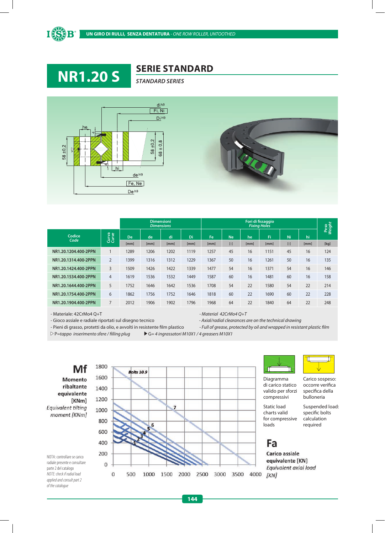





|                      |                |           |      | <b>Dimensioni</b><br><b>Dimensions</b> |      | Fori di fissaggio<br><b>Fixing Holes</b> |           |      |      |           |      |                |  |  |
|----------------------|----------------|-----------|------|----------------------------------------|------|------------------------------------------|-----------|------|------|-----------|------|----------------|--|--|
| Codice<br>Code       | Curva<br>Curve | <b>De</b> | de   | di                                     | Di   | Fe                                       | <b>Ne</b> | he   | Fi   | Ni        | hi   | Peso<br>Weight |  |  |
|                      |                | [mm]      | [mm] | [mm]                                   | [mm] | [mm]                                     | $[\cdot]$ | [mm] | [mm] | $[\cdot]$ | [mm] | [kg]           |  |  |
| NR1.20.1204.400-2PPN | 1              | 1289      | 1206 | 1202                                   | 1119 | 1257                                     | 45        | 16   | 1151 | 45        | 16   | 124            |  |  |
| NR1.20.1314.400-2PPN | $\overline{2}$ | 1399      | 1316 | 1312                                   | 1229 | 1367                                     | 50        | 16   | 1261 | 50        | 16   | 135            |  |  |
| NR1.20.1424.400-2PPN | $\overline{3}$ | 1509      | 1426 | 1422                                   | 1339 | 1477                                     | 54        | 16   | 1371 | 54        | 16   | 146            |  |  |
| NR1.20.1534.400-2PPN | $\overline{4}$ | 1619      | 1536 | 1532                                   | 1449 | 1587                                     | 60        | 16   | 1481 | 60        | 16   | 158            |  |  |
| NR1.20.1644.400-2PPN | 5              | 1752      | 1646 | 1642                                   | 1536 | 1708                                     | 54        | 22   | 1580 | 54        | 22   | 214            |  |  |
| NR1.20.1754.400-2PPN | 6              | 1862      | 1756 | 1752                                   | 1646 | 1818                                     | 60        | 22   | 1690 | 60        | 22   | 228            |  |  |
| NR1.20.1904.400-2PPN | $\overline{7}$ | 2012      | 1906 | 1902                                   | 1796 | 1968                                     | 64        | 22   | 1840 | 64        | 22   | 248            |  |  |

- Materiale: 42CrMo4 Q+T *- Material 42CrMo4 Q+T*

- Gioco assiale e radiale riportati sul disegno tecnico *- Axial/radial clearances are on the technical drawing* 

- Pieni di grasso, protetti da olio, e avvolti in resistente film plastico - Full of grease, protected by oil and wrapped in resistant plastic film

P*=tappo inserimento sfere / lling plug* G*= 4 ingrassatori M10X1 / 4 greasers M10X1*

Mf Momento ribaltante equivalente [KNm] Equivalent tilting moment [KNm]

NOTA: controllare se carico radiale presente e consultare parte 2 del catalogo *NOTE: check if radial load applied and consult part 2 of the catalogue*





Diagramma di carico statico valido per sforzi compressivi

Static load charts valid for compressive loads

Suspended load: specific bolts calculation

## Fa

Carico assiale equivalente [KN] Equivalent axial load  $[KN]$ 

Carico sospeso:

occorre verifica specifica della bulloneria

required